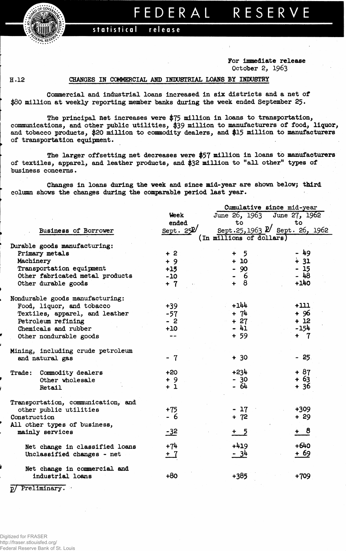*FRALRESER.* 

## FEDERAL RESERVE

## statistical release

**For Immediate release October 2, 1963**

## **H.12 CHANGES IN COMMERCIAL AND INDUSTRIAL LOANS BY INDUSTRY**

**Commercial and industrial loans increased in six districts and a net of \$80 million at weekly reporting member banks during the week ended September 25.**

**The principal net increases were \$75 million in loans to transportation, communications, and other public utilities, \$39 million to manufacturers of food, liquor, and tobacco products, \$20 million to commodity dealers, and \$15 million to manufacturers of transportation equipment.**

**The larger offsetting net decreases vere \$57 million in loans to manufacturers of textiles, apparel, and leather products, and \$32 mill ion to "all other" types of business concerns.**

**Changes in loans during the week and since mid-year are shown below; third column shows the changes during the comparable period last year.**

|                                    |             | Cumulative since mid-year      |        |  |  |  |  |
|------------------------------------|-------------|--------------------------------|--------|--|--|--|--|
|                                    | Week        | June 26, 1963 June 27, 1962    |        |  |  |  |  |
|                                    | ended       | to                             | to     |  |  |  |  |
| Business of Borrower               | Sept. $252$ | Sept.25, 1963 P Sept. 26, 1962 |        |  |  |  |  |
|                                    |             | (In millions of dollars)       |        |  |  |  |  |
| Durable goods manufacturing:       |             |                                |        |  |  |  |  |
| Primary metals                     | $+2$        | 5<br>$+$                       | - 49   |  |  |  |  |
| Machinery                          | $+9$        | $+10$                          | $+31$  |  |  |  |  |
| Transportation equipment           | $+15$       | $-90$                          | $-15$  |  |  |  |  |
| Other fabricated metal products    | $-10$       | 6                              | $-48$  |  |  |  |  |
| Other durable goods                | $+ 7$       | $+ 8$                          | $+140$ |  |  |  |  |
| Nondurable goods manufacturing:    |             |                                |        |  |  |  |  |
| Food, liquor, and tobacco          | $+39$       | $+144$                         | $+111$ |  |  |  |  |
| Textiles, apparel, and leather     | $-57$       | $+ 74$                         | $+96$  |  |  |  |  |
| Petroleum refining                 | $-2$        | $+27$                          | $+12$  |  |  |  |  |
| Chemicals and rubber               | $+10$       | - 41                           | -154   |  |  |  |  |
| Other nondurable goods             | $- -$       | $+ 59$                         | $+ 7$  |  |  |  |  |
| Mining, including crude petroleum  |             |                                |        |  |  |  |  |
| and natural gas                    | $-7$        | $+30$                          | $-25$  |  |  |  |  |
| Commodity dealers<br>Trade:        | $+20$       | $+234$                         | $+87$  |  |  |  |  |
| Other wholesale                    | $+9$        | $-30$                          | $+63$  |  |  |  |  |
| Retail                             | $+1$        | $-64$                          | + 36   |  |  |  |  |
| Transportation, communication, and |             |                                |        |  |  |  |  |
| other public utilities             | $+75$       | $-17$                          | +309   |  |  |  |  |
| Construction                       | - 6         | $+ 72$                         | $+29$  |  |  |  |  |
| All other types of business,       |             |                                |        |  |  |  |  |
| mainly services                    | $-32$       | $+5$                           | $+ 8$  |  |  |  |  |
| Net change in classified loans     | $+74$       | $+419$                         | $+640$ |  |  |  |  |
| Unclassified changes - net         | $+7$        | $-34$                          | + 69   |  |  |  |  |
| Net change in commercial and       |             |                                |        |  |  |  |  |
| industrial loans                   | $+80$       | $+385$                         | $+709$ |  |  |  |  |
| p/ Preliminary.                    |             |                                |        |  |  |  |  |